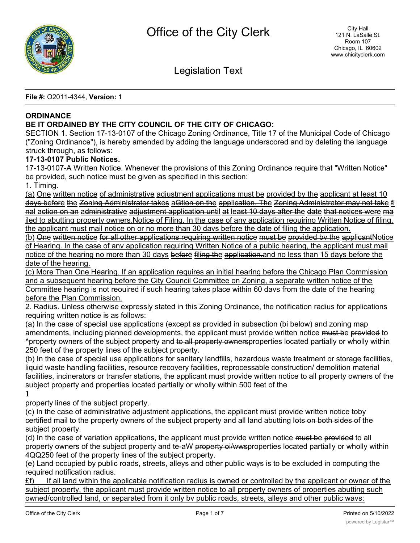

Legislation Text

**File #:** O2011-4344, **Version:** 1

## **ORDINANCE**

## **BE IT ORDAINED BY THE CITY COUNCIL OF THE CITY OF CHICAGO:**

SECTION 1. Section 17-13-0107 of the Chicago Zoning Ordinance, Title 17 of the Municipal Code of Chicago ("Zoning Ordinance"), is hereby amended by adding the language underscored and by deleting the language struck through, as follows:

## **17-13-0107 Public Notices.**

17-13-0107-A Written Notice. Whenever the provisions of this Zoning Ordinance require that "Written Notice" be provided, such notice must be given as specified in this section:

1. Timing.

(a) One written notice of administrative adjustment applications must be provided by the applicant at least 10 days before the Zoning Administrator takes aGtion on the application. The Zoning Administrator may not take fi nal action on an administrative adjustment application until at least 10 days after the date that notices were ma iled to abutting property owners. Notice of Filing. In the case of any application reouirino Written Notice of filing, the applicant must mail notice on or no more than 30 davs before the date of filing the application.

(b) One written notice for all other applications requiring written notice must be provided bv the applicantNotice of Hearing. In the case of anv application requiring Written Notice of a public hearing, the applicant must mail notice of the hearing no more than 30 days before filing the application.and no less than 15 days before the date of the hearing.

(c) More Than One Hearing. If an application requires an initial hearing before the Chicago Plan Commission and a subsequent hearing before the City Council Committee on Zoning, a separate written notice of the Committee hearing is not reouired if such hearing takes place within 60 davs from the date of the hearing before the Plan Commission.

2. Radius. Unless otherwise expressly stated in this Zoning Ordinance, the notification radius for applications requiring written notice is as follows:

(a) In the case of special use applications (except as provided in subsection (bi below) and zoning map amendments, including planned developments, the applicant must provide written notice must be provided to ^property owners of the subject property and to all property ownersproperties located partially or wholly within 250 feet of the property lines of the subject property.

(b) In the case of special use applications for sanitary landfills, hazardous waste treatment or storage facilities, liquid waste handling facilities, resource recovery facilities, reprocessable construction/ demolition material facilities, incinerators or transfer stations, the applicant must provide written notice to all property owners of the subject property and properties located partially or wholly within 500 feet of the

**1**

property lines of the subject property.

(c) In the case of administrative adjustment applications, the applicant must provide written notice toby certified mail to the property owners of the subject property and all land abutting lots on both sides of the subject property.

(d) In the case of variation applications, the applicant must provide written notice must be provided to all property owners of the subject property and te-aW property oi/wwsproperties located partially or wholly within 4QQ250 feet of the property lines of the subject property.

(e) Land occupied by public roads, streets, alleys and other public ways is to be excluded in computing the required notification radius.

 $E$ f) If all land within the applicable notification radius is owned or controlled by the applicant or owner of the subject property, the applicant must provide written notice to all property owners of properties abutting such owned/controlled land, or separated from it only bv public roads, streets, alleys and other public wavs: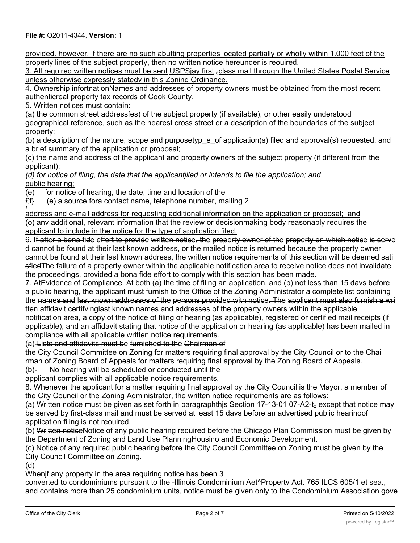provided. however, if there are no such abutting properties located partially or wholly within 1.000 feet of the property lines of the subject property, then no written notice hereunder is reouired.

3. All required written notices must be sent USPSjay first sclass mail through the United States Postal Service unless otherwise expressly statedv in this Zoning Ordinance.

4. Ownership infortnationNames and addresses of property owners must be obtained from the most recent authenticreal property tax records of Cook County.

5. Written notices must contain:

(a) the common street addressfes) of the subject property (if available), or other easily understood geographical reference, such as the nearest cross street or a description of the boundaries of the subject property;

(b) a description of the nature, scope and purposetyp e of application(s) filed and approval(s) reouested. and a brief summary of the application or proposal;

(c) the name and address of the applicant and property owners of the subject property (if different from the applicant);

*(d) for notice of filing, the date that the applicantjiled or intends to file the application; and* public hearing;

(e) for notice of hearing, the date, time and location of the

 $E\mathfrak{f}$  (e) a source fora contact name, telephone number, mailing 2 *1*

address and e-mail address for requesting additional information on the application or proposal;\_and (o) anv additional, relevant information that the review or decisionmaking body reasonably requires the applicant to include in the notice for the type of application filed.

6. If after a bona fide effort to provide written notice, the property owner of the property on which notice is serve d cannot be found at their last known address, or the mailed notice is returned because the property owner cannot be found at their last known address, the written notice requirements of this section will be deemed sati sfiedThe failure of a property owner within the applicable notification area to receive notice does not invalidate the proceedings, provided a bona fide effort to comply with this section has been made.

7. AtEvidence of Compliance. At both (a) the time of filing an application, and (b) not less than 15 davs before a public hearing, the applicant must furnish to the Office of the Zoning Administrator a complete list containing the names and last known addresses of the persons provided with notice. The applicant must also furnish a wri tten affidavit certifvinglast known names and addresses of the property owners within the applicable

notification area, a copy of the notice of filing or hearing (as applicable), registered or certified mail receipts (if applicable), and an affidavit stating that notice of the application or hearing (as applicable) has been mailed in compliance with all applicable written notice requirements.

(a)-Lists and affidavits must be furnished to the Chairman of

the City Council Committee on Zoning for matters requiring final approval by the City Council or to the Chai rman of Zoning Board of Appeals for matters requiring final approval by the Zoning Board of Appeals.

(b)- No hearing will be scheduled or conducted until the

applicant complies with all applicable notice requirements.

8. Whenever the applicant for a matter requiring final approval by the City Council is the Mayor, a member of the City Council or the Zoning Administrator, the written notice requirements are as follows:

(a) Written notice must be given as set forth in paragraphthis Section 17-13-01 07-A2-t<sub>+</sub> except that notice  $\frac{1}{2}$ be served by first-class mail and must be served at least 15 davs before an advertised public hearinoof application filing is not reouired.

(b) Written noticeNotice of any public hearing required before the Chicago Plan Commission must be given by the Department of Zoning and Land Use PlanningHousino and Economic Development.

(c) Notice of any required public hearing before the City Council Committee on Zoning must be given by the City Council Committee on Zoning.

(d)

When if any property in the area requiring notice has been 3

converted to condominiums pursuant to the -Illinois Condominium Aet^Propertv Act. 765 ILCS 605/1 et sea., and contains more than 25 condominium units, notice must be given only to the Condominium Association gove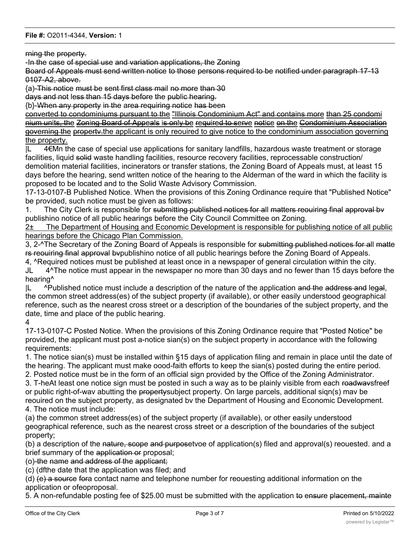rning the property.

-In the case of special use and variation applications, the Zoning

Board of Appeals must send written notice to those persons required to be notified under paragraph 17-13 0107-A2, above.

{a)-This notice must be sent first class mail no more than 30

days and not less than 15 days before the public hearing.

{b}-When any property in the area requiring notice has been

converted to condominiums pursuant to the "Illinois Condominium Act" and contains more than 25 condomi nium units, the Zoning Board of Appeals is only be required to serve notice on the Condominium Association governing the propertv.the applicant is only reouired to give notice to the condominium association governing the property.

|L 4€Mn the case of special use applications for sanitary landfills, hazardous waste treatment or storage facilities, liquid solid waste handling facilities, resource recovery facilities, reprocessable construction/ demolition material facilities, incinerators or transfer stations, the Zoning Board of Appeals must, at least 15 days before the hearing, send written notice of the hearing to the Alderman of the ward in which the facility is proposed to be located and to the Solid Waste Advisory Commission.

17-13-0107-B Published Notice. When the provisions of this Zoning Ordinance require that "Published Notice" be provided, such notice must be given as follows:

1. The City Clerk is responsible for submitting published notices for all matters reouiring final approval by publishino notice of all public hearings before the City Council Committee on Zoning.

2± The Department of Housing and Economic Development is responsible for publishing notice of all public hearings before the Chicago Plan Commission.

3, 2-^The Secretary of the Zoning Board of Appeals is responsible for submitting published notices for all matte rs reouiring final approval bvpublishino notice of all public hearings before the Zoning Board of Appeals.

4, ^Required notices must be published at least once in a newspaper of general circulation within the city. JL 4^The notice must appear in the newspaper no more than 30 days and no fewer than 15 days before the hearing^

 $|L \rangle$  ^Published notice must include a description of the nature of the application and the address and legal, the common street address(es) of the subject property (if available), or other easily understood geographical reference, such as the nearest cross street or a description of the boundaries of the subject property, and the date, time and place of the public hearing.

### 4

17-13-0107-C Posted Notice. When the provisions of this Zoning Ordinance require that "Posted Notice" be provided, the applicant must post a-notice sian(s) on the subject property in accordance with the following requirements:

1. The notice sian(s) must be installed within §15 days of application filing and remain in place until the date of the hearing. The applicant must make oood-faith efforts to keep the sian(s) posted during the entire period.

2. Posted notice must be in the form of an official sign provided by the Office of the Zoning Administrator.

3. T-heAt least one notice sign must be posted in such a way as to be plainly visible from each roadwaysfreef or public right-of-wav abutting the propertysubject property. On large parcels, additional sign(s) mav be reouired on the subject property, as designated bv the Department of Housing and Economic Development.

4. The notice must include:

(a) the common street address(es) of the subject property (if available), or other easily understood geographical reference, such as the nearest cross street or a description of the boundaries of the subject property;

(b) a description of the nature, scope and purposetvoe of application(s) filed and approval(s) reouested. and a brief summary of the application or proposal;

(o)-the name and address of the applicant;

(c) (dfthe date that the application was filed; and

(d) (e) a source fora contact name and telephone number for reouesting additional information on the application or ofeoproposal.

5. A non-refundable posting fee of \$25.00 must be submitted with the application to ensure placement, mainte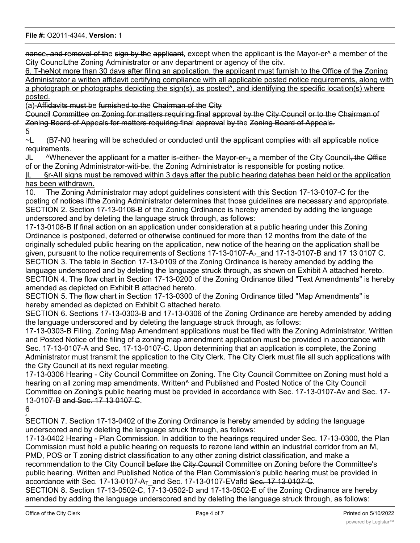nance, and removal of the sign by the applicant, except when the applicant is the Mayor-er<sup>^</sup> a member of the City CounciLthe Zoning Administrator or anv department or agency of the citv.

6. T-heNot more than 30 davs after filing an application, the applicant must furnish to the Office of the Zoning Administrator a written affidavit certifying compliance with all applicable posted notice requirements, along with a photograph or photographs depicting the sign(s), as posted^, and identifying the specific location(s) where posted.

(a)-Affidavits must be furnished to the Chairman of the City

Council Committee on Zoning for matters requiring final approval by the City Council or to the Chairman of Zoning Board of Appeals for matters requiring final approval by the Zoning Board of Appeals.

5

~L (B7-N0 hearing will be scheduled or conducted until the applicant complies with all applicable notice requirements.

JL  $\lambda$ Whenever the applicant for a matter is-either- the Mayor-er- $_{\pm}$  a member of the City Council, the Office of or the Zoning Administrator-witi-be. the Zoning Administrator is responsible for posting notice.

|L §r-AII signs must be removed within 3 days after the public hearing datehas been held or the application has been withdrawn.

10. The Zoning Administrator may adopt guidelines consistent with this Section 17-13-0107-C for the posting of notices ifthe Zoning Administrator determines that those guidelines are necessary and appropriate. SECTION 2. Section 17-13-0108-B of the Zoning Ordinance is hereby amended by adding the language underscored and by deleting the language struck through, as follows:

17-13-0108-B If final action on an application under consideration at a public hearing under this Zoning Ordinance is postponed, deferred or otherwise continued for more than 12 months from the date of the originally scheduled public hearing on the application, new notice of the hearing on the application shall be given, pursuant to the notice requirements of Sections 17-13-0107-A<sub>7</sub> and 17-13-0107-B and 17 13 0107 C. SECTION 3. The table in Section 17-13-0109 of the Zoning Ordinance is hereby amended by adding the language underscored and by deleting the language struck through, as shown on Exhibit A attached hereto. SECTION 4. The flow chart in Section 17-13-0200 of the Zoning Ordinance titled "Text Amendments" is hereby amended as depicted on Exhibit B attached hereto.

SECTION 5. The flow chart in Section 17-13-0300 of the Zoning Ordinance titled "Map Amendments" is hereby amended as depicted on Exhibit C attached hereto.

SECTION 6. Sections 17-13-0303-B and 17-13-0306 of the Zoning Ordinance are hereby amended by adding the language underscored and by deleting the language struck through, as follows:

17-13-0303-B Filing. Zoning Map Amendment applications must be filed with the Zoning Administrator. Written and Posted Notice of the filing of a zoning map amendment application must be provided in accordance with Sec. 17-13-0107-A and Sec. 17-13-0107-C. Upon determining that an application is complete, the Zoning Administrator must transmit the application to the City Clerk. The City Clerk must file all such applications with the City Council at its next regular meeting.

17-13-0306 Hearing - City Council Committee on Zoning. The City Council Committee on Zoning must hold a hearing on all zoning map amendments. Written<sup>^</sup> and Published and Posted Notice of the City Council Committee on Zoning's public hearing must be provided in accordance with Sec. 17-13-0107-Av and Sec. 17- 13-0107-B and Soc. 17 13 0107 C.

6 J

SECTION 7. Section 17-13-0402 of the Zoning Ordinance is hereby amended by adding the language underscored and by deleting the language struck through, as follows:

17-13-0402 Hearing - Plan Commission. In addition to the hearings required under Sec. 17-13-0300, the Plan Commission must hold a public hearing on requests to rezone land within an industrial corridor from an M, PMD, POS or T zoning district classification to any other zoning district classification, and make a recommendation to the City Council before the City Council Committee on Zoning before the Committee's public hearing. Written and Published Notice of the Plan Commission's public hearing must be provided in accordance with Sec. 17-13-0107- $A_T$  and Sec. 17-13-0107-EVafld Sec. 17 13 0107-C.

SECTION 8. Section 17-13-0502-C, 17-13-0502-D and 17-13-0502-E of the Zoning Ordinance are hereby amended by adding the language underscored and by deleting the language struck through, as follows: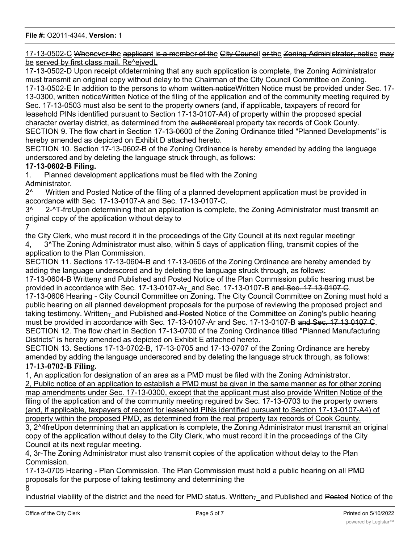17-13-0502-C Whenever the applicant is a member of the City Council or the Zoning Administrator, notice may be served by first class mail. Re^ejvedL

17-13-0502-D Upon receipt of determining that any such application is complete, the Zoning Administrator must transmit an original copy without delay to the Chairman of the City Council Committee on Zoning. 17-13-0502-E In addition to the persons to whom written noticeWritten Notice must be provided under Sec. 17- 13-0300, written noticeWritten Notice of the filing of the application and of the community meeting required by Sec. 17-13-0503 must also be sent to the property owners (and, if applicable, taxpayers of record for leasehold PINs identified pursuant to Section 17-13-0107-A4) of property within the proposed special character overlay district, as determined from the authenticreal property tax records of Cook County. SECTION 9. The flow chart in Section 17-13-0600 of the Zoning Ordinance titled "Planned Developments" is hereby amended as depicted on Exhibit D attached hereto.

SECTION 10. Section 17-13-0602-B of the Zoning Ordinance is hereby amended by adding the language underscored and by deleting the language struck through, as follows:

## **17-13-0602-B Filing.**

1. Planned development applications must be filed with the Zoning Administrator.

2<sup>^</sup> Written and Posted Notice of the filing of a planned development application must be provided in accordance with Sec. 17-13-0107-A and Sec. 17-13-0107-C.

3^ 2-^T-freUpon determining that an application is complete, the Zoning Administrator must transmit an original copy of the application without delay to

7

the City Clerk, who must record it in the proceedings of the City Council at its next regular meetingr 4, 3^The Zoning Administrator must also, within 5 days of application filing, transmit copies of the application to the Plan Commission.

SECTION 11. Sections 17-13-0604-B and 17-13-0606 of the Zoning Ordinance are hereby amended by adding the language underscored and by deleting the language struck through, as follows:

17-13-0604-B Writteny and Published and Posted Notice of the Plan Commission public hearing must be provided in accordance with Sec. 17-13-0107- $A_T$  and Sec. 17-13-0107-B and Sec. 17 13 0107 C.

17-13-0606 Hearing - City Council Committee on Zoning. The City Council Committee on Zoning must hold a public hearing on all planned development proposals for the purpose of reviewing the proposed project and taking testimony. Written<sub>T</sub> and Published and Posted Notice of the Committee on Zoning's public hearing must be provided in accordance with Sec. 17-13-0107-Ar and Sec. 17-13-0107-B and Sec. 17 13 0107 C. SECTION 12. The flow chart in Section 17-13-0700 of the Zoning Ordinance titled "Planned Manufacturing Districts" is hereby amended as depicted on Exhibit E attached hereto.

SECTION 13. Sections 17-13-0702-B, 17-13-0705 and 17-13-0707 of the Zoning Ordinance are hereby amended by adding the language underscored and by deleting the language struck through, as follows: **17-13-0702-B Filing.**

1, An application for designation of an area as a PMD must be filed with the Zoning Administrator. 2, Public notice of an application to establish a PMD must be given in the same manner as for other zoning map amendments under Sec. 17-13-0300, except that the applicant must also provide Written Notice of the

filing of the application and of the community meeting reguired bv Sec. 17-13-0703 to the property owners (and, if applicable, taxpayers of record for leasehold PINs identified pursuant to Section 17-13-0107-A4) of property within the proposed PMD, as determined from the real property tax records of Cook County. 3, 2^4freUpon determining that an application is complete, the Zoning Administrator must transmit an original copy of the application without delay to the City Clerk, who must record it in the proceedings of the City Council at its next regular meeting.

4, 3r-The Zoning Administrator must also transmit copies of the application without delay to the Plan **Commission** 

17-13-0705 Hearing - Plan Commission. The Plan Commission must hold a public hearing on all PMD proposals for the purpose of taking testimony and determining the

8

industrial viability of the district and the need for PMD status. Written<sub>7</sub> and Published and Posted Notice of the

 $\equiv$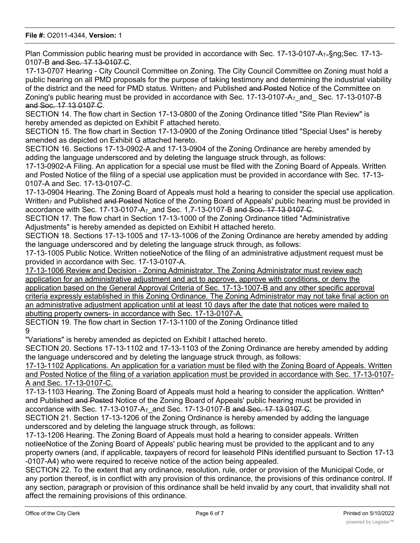Plan Commission public hearing must be provided in accordance with Sec. 17-13-0107-A<sub>T=</sub>§ng;Sec. 17-13-0107-B and Sec. 17 13-0107 C.

17-13-0707 Hearing - City Council Committee on Zoning. The City Council Committee on Zoning must hold a public hearing on all PMD proposals for the purpose of taking testimony and determining the industrial viability of the district and the need for PMD status. Written<sub>7</sub> and Published and Posted Notice of the Committee on Zoning's public hearing must be provided in accordance with Sec.  $17-13-0107-A<sub>7</sub>$  and Sec. 17-13-0107-B and Soc. 17 13 0107 C.

SECTION 14. The flow chart in Section 17-13-0800 of the Zoning Ordinance titled "Site Plan Review" is hereby amended as depicted on Exhibit F attached hereto.

SECTION 15. The flow chart in Section 17-13-0900 of the Zoning Ordinance titled "Special Uses" is hereby amended as depicted on Exhibit G attached hereto.

SECTION 16. Sections 17-13-0902-A and 17-13-0904 of the Zoning Ordinance are hereby amended by adding the language underscored and by deleting the language struck through, as follows:

17-13-0902-A Filing. An application for a special use must be filed with the Zoning Board of Appeals. Written and Posted Notice of the filing of a special use application must be provided in accordance with Sec. 17-13- 0107-A and Sec. 17-13-0107-C.

17-13-0904 Hearing. The Zoning Board of Appeals must hold a hearing to consider the special use application. Written<sub>z</sub> and Published and Posted Notice of the Zoning Board of Appeals' public hearing must be provided in accordance with Sec. 17-13-0107-A<sub>7</sub> and Sec. 1,7-13-0107-B and Soo. 17 13 0107 C.

SECTION 17. The flow chart in Section 17-13-1000 of the Zoning Ordinance titled "Administrative Adjustments" is hereby amended as depicted on Exhibit H attached hereto.

SECTION 18. Sections 17-13-1005 and 17-13-1006 of the Zoning Ordinance are hereby amended by adding the language underscored and by deleting the language struck through, as follows:

17-13-1005 Public Notice. Written notieeNotice of the filing of an administrative adjustment request must be provided in accordance with Sec. 17-13-0107-A.

17-13-1006 Review and Decision - Zoning Administrator. The Zoning Administrator must review each application for an administrative adjustment and act to approve, approve with conditions, or deny the application based on the General Approval Criteria of Sec. 17-13-1007-B and any other specific approval criteria expressly established in this Zoning Ordinance. The Zoning Administrator may not take final action on an administrative adjustment application until at least 10 days after the date that notices were mailed to abutting property owners- in accordance with Sec. 17-13-0107-A.

SECTION 19. The flow chart in Section 17-13-1100 of the Zoning Ordinance titled 9

"Variations" is hereby amended as depicted on Exhibit I attached hereto.

SECTION 20. Sections 17-13-1102 and 17-13-1103 of the Zoning Ordinance are hereby amended by adding the language underscored and by deleting the language struck through, as follows:

17-13-1102 Applications. An application for a variation must be filed with the Zoning Board of Appeals. Written and Posted Notice of the filing of a variation application must be provided in accordance with Sec. 17-13-0107- A and Sec. 17-13-0107-C.

17-13-1103 Hearing. The Zoning Board of Appeals must hold a hearing to consider the application. Written^ and Published and Posted Notice of the Zoning Board of Appeals' public hearing must be provided in accordance with Sec. 17-13-0107- $A_T$  and Sec. 17-13-0107-B and Sec. 17 13 0107 C.

SECTION 21. Section 17-13-1206 of the Zoning Ordinance is hereby amended by adding the language underscored and by deleting the language struck through, as follows:

17-13-1206 Hearing. The Zoning Board of Appeals must hold a hearing to consider appeals. Written notieeNotice of the Zoning Board of Appeals' public hearing must be provided to the applicant and to any property owners (and, if applicable, taxpayers of record for leasehold PINs identified pursuant to Section 17-13 -0107-A4) who were required to receive notice of the action being appealed.

SECTION 22. To the extent that any ordinance, resolution, rule, order or provision of the Municipal Code, or any portion thereof, is in conflict with any provision of this ordinance, the provisions of this ordinance control. If any section, paragraph or provision of this ordinance shall be held invalid by any court, that invalidity shall not affect the remaining provisions of this ordinance.